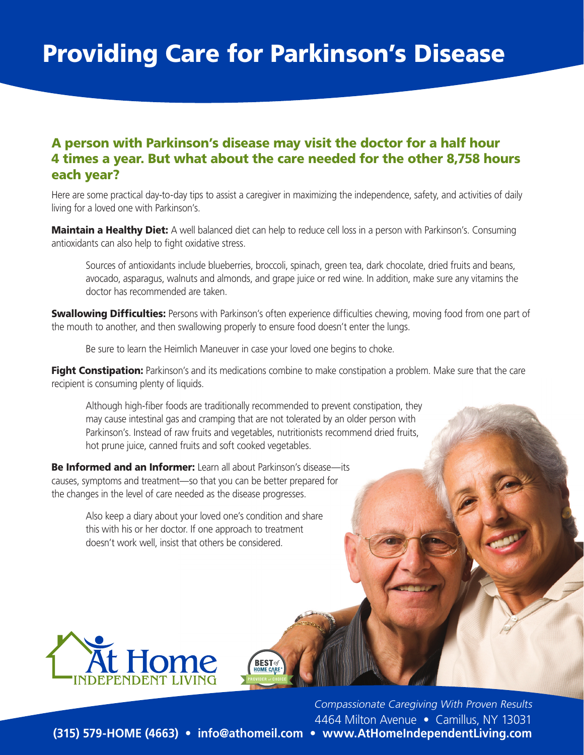## Providing Care for Parkinson's Disease

## A person with Parkinson's disease may visit the doctor for a half hour 4 times a year. But what about the care needed for the other 8,758 hours each year?

Here are some practical day-to-day tips to assist a caregiver in maximizing the independence, safety, and activities of daily living for a loved one with Parkinson's.

Maintain a Healthy Diet: A well balanced diet can help to reduce cell loss in a person with Parkinson's. Consuming antioxidants can also help to fight oxidative stress.

Sources of antioxidants include blueberries, broccoli, spinach, green tea, dark chocolate, dried fruits and beans, avocado, asparagus, walnuts and almonds, and grape juice or red wine. In addition, make sure any vitamins the doctor has recommended are taken.

**Swallowing Difficulties:** Persons with Parkinson's often experience difficulties chewing, moving food from one part of the mouth to another, and then swallowing properly to ensure food doesn't enter the lungs.

Be sure to learn the Heimlich Maneuver in case your loved one begins to choke.

Fight Constipation: Parkinson's and its medications combine to make constipation a problem. Make sure that the care recipient is consuming plenty of liquids.

Although high-fiber foods are traditionally recommended to prevent constipation, they may cause intestinal gas and cramping that are not tolerated by an older person with Parkinson's. Instead of raw fruits and vegetables, nutritionists recommend dried fruits, hot prune juice, canned fruits and soft cooked vegetables.

**BEST** 

**Be Informed and an Informer:** Learn all about Parkinson's disease—its causes, symptoms and treatment—so that you can be better prepared for the changes in the level of care needed as the disease progresses.

> Also keep a diary about your loved one's condition and share this with his or her doctor. If one approach to treatment doesn't work well, insist that others be considered.



Compassionate Caregiving With Proven Results 4464 Milton Avenue • Camillus, NY 13031

**(315) 579-HOME (4663) • info@athomeil.com • www.AtHomeIndependentLiving.com**